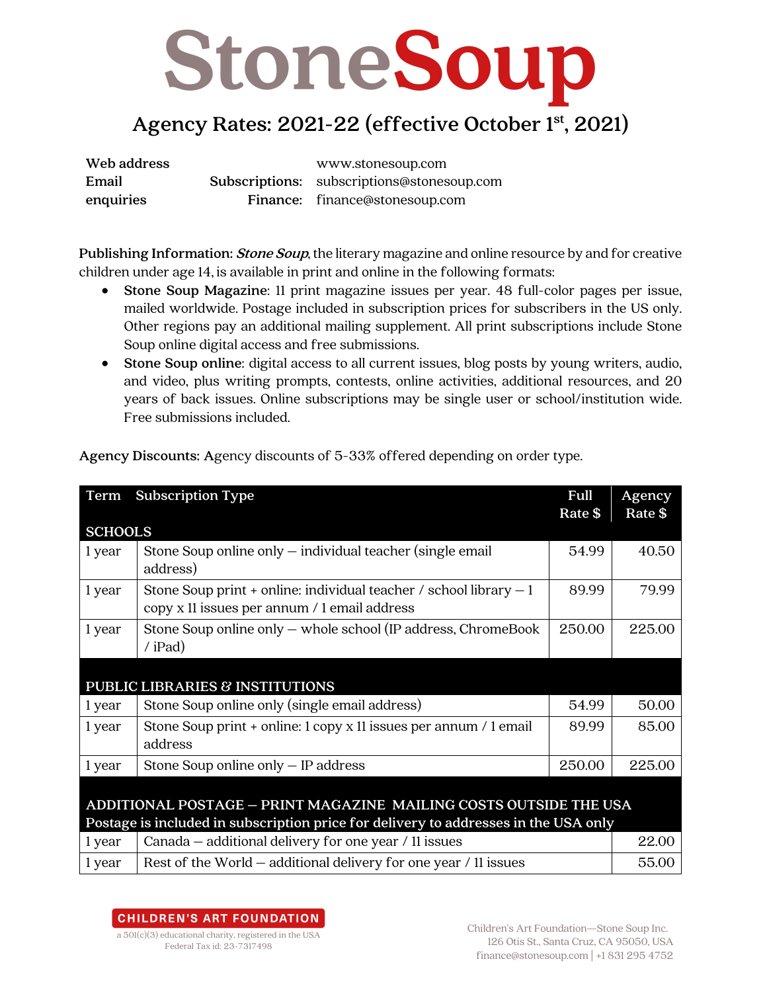## StoneSoup

### **Agency Rates: 2021-22 (effective October 1st, 2021)**

**Web address** www.stonesoup.com **Email enquiries Subscriptions:** subscriptions@stonesoup.com **Finance:** finance@stonesoup.com

**Publishing Information:Stone Soup**, the literary magazine and online resource by and for creative children under age 14, is available in print and online in the following formats:

- **Stone Soup Magazine**: 11 print magazine issues per year. 48 full-color pages per issue, mailed worldwide. Postage included in subscription prices for subscribers in the US only. Other regions pay an additional mailing supplement. All print subscriptions include Stone Soup online digital access and free submissions.
- **Stone Soup online**: digital access to all current issues, blog posts by young writers, audio, and video, plus writing prompts, contests, online activities, additional resources, and 20 years of back issues. Online subscriptions may be single user or school/institution wide. Free submissions included.

| Term                                                                                                                                                     | <b>Subscription Type</b>                                                                                            | Full<br>Rate \$ | Agency<br>Rate \$ |  |
|----------------------------------------------------------------------------------------------------------------------------------------------------------|---------------------------------------------------------------------------------------------------------------------|-----------------|-------------------|--|
| <b>SCHOOLS</b>                                                                                                                                           |                                                                                                                     |                 |                   |  |
| 1 year                                                                                                                                                   | Stone Soup online only $-$ individual teacher (single email<br>address)                                             | 54.99           | 40.50             |  |
| 1 year                                                                                                                                                   | Stone Soup print + online: individual teacher / school library $-1$<br>copy x 11 issues per annum / 1 email address | 89.99           | 79.99             |  |
| 1 year                                                                                                                                                   | Stone Soup online only - whole school (IP address, ChromeBook<br>$/$ iPad)                                          | 250.00          | 225.00            |  |
| PUBLIC LIBRARIES & INSTITUTIONS                                                                                                                          |                                                                                                                     |                 |                   |  |
| 1 year                                                                                                                                                   | Stone Soup online only (single email address)                                                                       | 54.99           | 50.00             |  |
| 1 year                                                                                                                                                   | Stone Soup print + online: 1 copy x 11 issues per annum / 1 email<br>address                                        | 89.99           | 85.00             |  |
| 1 year                                                                                                                                                   | Stone Soup online only $-$ IP address                                                                               | 250.00          | 225.00            |  |
| ADDITIONAL POSTAGE - PRINT MAGAZINE MAILING COSTS OUTSIDE THE USA<br>Postage is included in subscription price for delivery to addresses in the USA only |                                                                                                                     |                 |                   |  |
| 1 year                                                                                                                                                   | Canada - additional delivery for one year / 11 issues                                                               |                 | 22.00             |  |
| 1 year                                                                                                                                                   | Rest of the World – additional delivery for one year / 11 issues                                                    |                 | 55.00             |  |

**Agency Discounts: A**gency discounts of 5-33% offered depending on order type.

#### **CHILDREN'S ART FOUNDATION**

a 501(c)(3) educational charity, registered in the USA Federal Tax id: 23-7317498